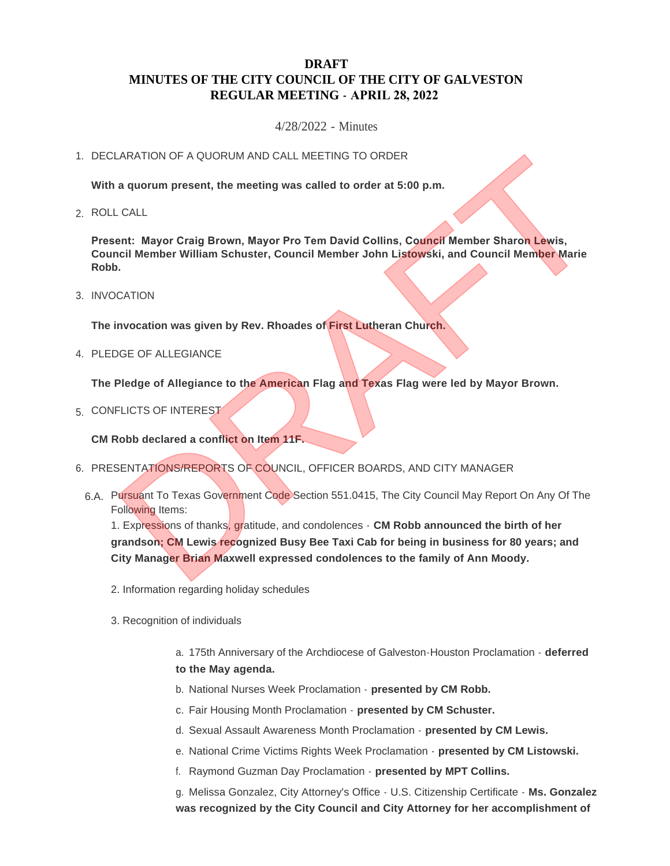# **DRAFT MINUTES OF THE CITY COUNCIL OF THE CITY OF GALVESTON REGULAR MEETING - APRIL 28, 2022**

4/28/2022 - Minutes

## 1. DECLARATION OF A QUORUM AND CALL MEETING TO ORDER

**With a quorum present, the meeting was called to order at 5:00 p.m.**

ROLL CALL 2.

**Present: Mayor Craig Brown, Mayor Pro Tem David Collins, Council Member Sharon Lewis, Council Member William Schuster, Council Member John Listowski, and Council Member Marie Robb.**

3. INVOCATION

**The invocation was given by Rev. Rhoades of First Lutheran Church.**

4. PLEDGE OF ALLEGIANCE

**The Pledge of Allegiance to the American Flag and Texas Flag were led by Mayor Brown.**

5. CONFLICTS OF INTEREST

**CM Robb declared a conflict on Item 11F.**

- 6. PRESENTATIONS/REPORTS OF COUNCIL, OFFICER BOARDS, AND CITY MANAGER
	- 6.A. Pursuant To Texas Government Code Section 551.0415, The City Council May Report On Any Of The Following Items:

1. Expressions of thanks, gratitude, and condolences - **CM Robb announced the birth of her grandson; CM Lewis recognized Busy Bee Taxi Cab for being in business for 80 years; and City Manager Brian Maxwell expressed condolences to the family of Ann Moody.** TRATION OF A QUORUM AND CALL MEETING TO ORDER<br>
a quorum present, the meeting was called to order at 5:00 p.m.<br>
CALL<br>
ent: Mayor Craig Brown, Mayor Pro Tem David Collins, Council Member Sharon Lewis,<br>
CATION<br>
DRAFTION<br>
DRAF

- 2. Information regarding holiday schedules
- 3. Recognition of individuals

a. 175th Anniversary of the Archdiocese of Galveston-Houston Proclamation - **deferred to the May agenda.**

- b. National Nurses Week Proclamation **presented by CM Robb.**
- c. Fair Housing Month Proclamation **presented by CM Schuster.**
- d. Sexual Assault Awareness Month Proclamation **presented by CM Lewis.**
- e. National Crime Victims Rights Week Proclamation **presented by CM Listowski.**
- f. Raymond Guzman Day Proclamation **presented by MPT Collins.**

g. Melissa Gonzalez, City Attorney's Office - U.S. Citizenship Certificate - **Ms. Gonzalez was recognized by the City Council and City Attorney for her accomplishment of**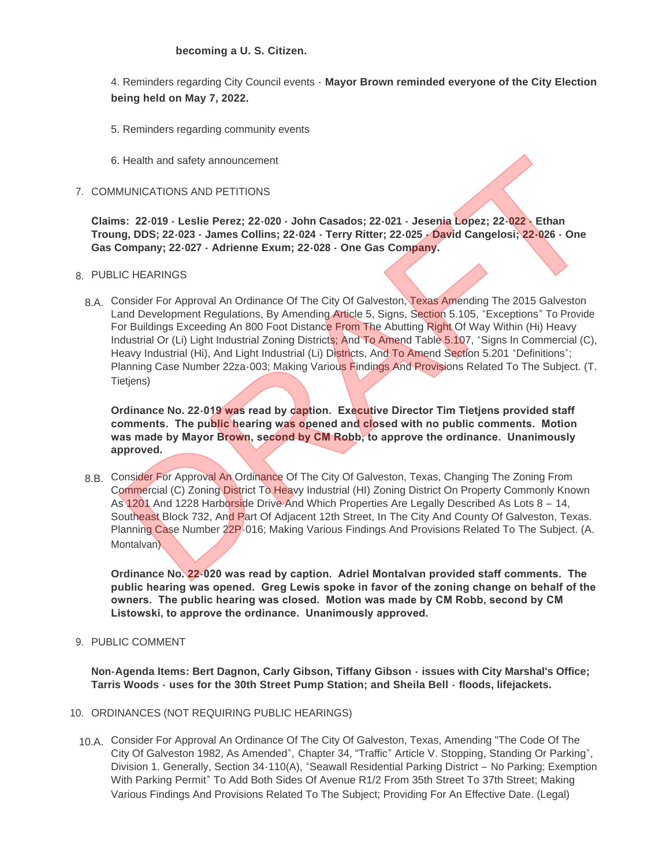4. Reminders regarding City Council events - **Mayor Brown reminded everyone of the City Election being held on May 7, 2022.**

- 5. Reminders regarding community events
- 6. Health and safety announcement
- 7. COMMUNICATIONS AND PETITIONS

**Claims: 22-019 - Leslie Perez; 22-020 - John Casados; 22-021 - Jesenia Lopez; 22-022 - Ethan Troung, DDS; 22-023 - James Collins; 22-024 - Terry Ritter; 22-025 - David Cangelosi; 22-026 - One Gas Company; 22-027 - Adrienne Exum; 22-028 - One Gas Company.**

# PUBLIC HEARINGS 8.

8.A. Consider For Approval An Ordinance Of The City Of Galveston, Texas Amending The 2015 Galveston Land Development Regulations, By Amending Article 5, Signs, Section 5.105, "Exceptions" To Provide For Buildings Exceeding An 800 Foot Distance From The Abutting Right Of Way Within (Hi) Heavy Industrial Or (Li) Light Industrial Zoning Districts; And To Amend Table 5.107, "Signs In Commercial (C), Heavy Industrial (Hi), And Light Industrial (Li) Districts, And To Amend Section 5.201 "Definitions"; Planning Case Number 22za-003; Making Various Findings And Provisions Related To The Subject. (T. Tietiens) i. Health and safety announcement<br>
MUNICATIONS AND PETITIONS<br>
IS: 22-019 - Leslie Perez; 22-020 - John Casados; 22-021 - Jesenia Lopez; 22-022 - Ethan<br>
Ing, DDS; 22-023 - James Collins; 22-024 - Terry Ritter; 22-025 - Davi

**Ordinance No. 22-019 was read by caption. Executive Director Tim Tietjens provided staff comments. The public hearing was opened and closed with no public comments. Motion was made by Mayor Brown, second by CM Robb, to approve the ordinance. Unanimously approved.**

8.B. Consider For Approval An Ordinance Of The City Of Galveston, Texas, Changing The Zoning From Commercial (C) Zoning District To Heavy Industrial (HI) Zoning District On Property Commonly Known As 1201 And 1228 Harborside Drive And Which Properties Are Legally Described As Lots 8 – 14, Southeast Block 732, And Part Of Adjacent 12th Street, In The City And County Of Galveston, Texas. Planning Case Number 22P-016; Making Various Findings And Provisions Related To The Subject. (A. Montalvan)

**Ordinance No. 22-020 was read by caption. Adriel Montalvan provided staff comments. The public hearing was opened. Greg Lewis spoke in favor of the zoning change on behalf of the owners. The public hearing was closed. Motion was made by CM Robb, second by CM Listowski, to approve the ordinance. Unanimously approved.**

9. PUBLIC COMMENT

**Non-Agenda Items: Bert Dagnon, Carly Gibson, Tiffany Gibson - issues with City Marshal's Office; Tarris Woods - uses for the 30th Street Pump Station; and Sheila Bell - floods, lifejackets.**

- 10. ORDINANCES (NOT REQUIRING PUBLIC HEARINGS)
	- 10.A. Consider For Approval An Ordinance Of The City Of Galveston, Texas, Amending "The Code Of The City Of Galveston 1982, As Amended", Chapter 34, "Traffic" Article V. Stopping, Standing Or Parking", Division 1. Generally, Section 34-110(A), "Seawall Residential Parking District – No Parking; Exemption With Parking Permit" To Add Both Sides Of Avenue R1/2 From 35th Street To 37th Street; Making Various Findings And Provisions Related To The Subject; Providing For An Effective Date. (Legal)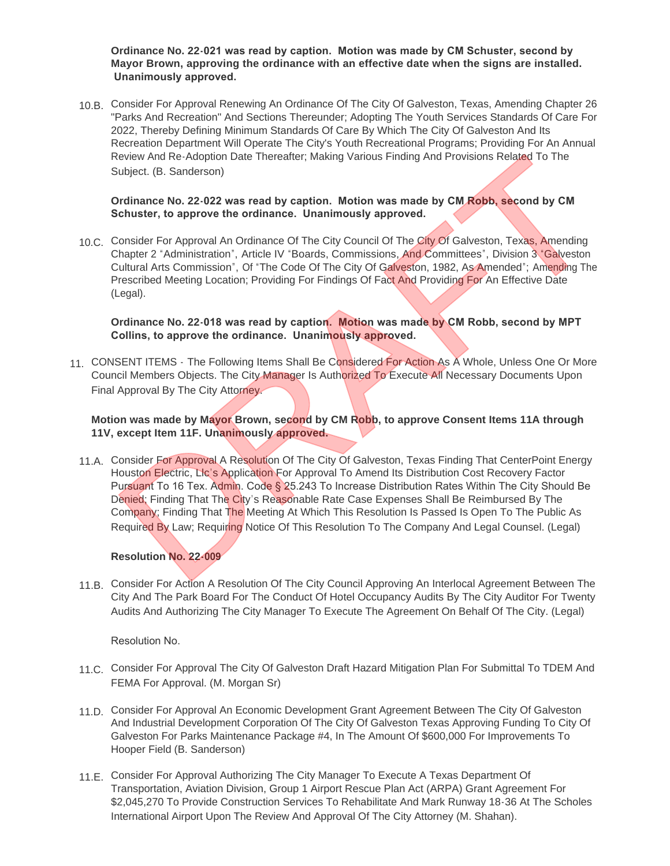**Ordinance No. 22-021 was read by caption. Motion was made by CM Schuster, second by Mayor Brown, approving the ordinance with an effective date when the signs are installed. Unanimously approved.**

10.B. Consider For Approval Renewing An Ordinance Of The City Of Galveston, Texas, Amending Chapter 26 "Parks And Recreation" And Sections Thereunder; Adopting The Youth Services Standards Of Care For 2022, Thereby Defining Minimum Standards Of Care By Which The City Of Galveston And Its Recreation Department Will Operate The City's Youth Recreational Programs; Providing For An Annual Review And Re-Adoption Date Thereafter; Making Various Finding And Provisions Related To The Subject. (B. Sanderson)

### **Ordinance No. 22-022 was read by caption. Motion was made by CM Robb, second by CM Schuster, to approve the ordinance. Unanimously approved.**

10.C. Consider For Approval An Ordinance Of The City Council Of The City Of Galveston, Texas, Amending Chapter 2 "Administration", Article IV "Boards, Commissions, And Committees", Division 3 "Galveston Cultural Arts Commission", Of "The Code Of The City Of Galveston, 1982, As Amended"; Amending The Prescribed Meeting Location; Providing For Findings Of Fact And Providing For An Effective Date (Legal).

**Ordinance No. 22-018 was read by caption. Motion was made by CM Robb, second by MPT Collins, to approve the ordinance. Unanimously approved.**

11. CONSENT ITEMS - The Following Items Shall Be Considered For Action As A Whole, Unless One Or More Council Members Objects. The City Manager Is Authorized To Execute All Necessary Documents Upon Final Approval By The City Attorney.

## **Motion was made by Mayor Brown, second by CM Robb, to approve Consent Items 11A through 11V, except Item 11F. Unanimously approved.**

11.A. Consider For Approval A Resolution Of The City Of Galveston, Texas Finding That CenterPoint Energy Houston Electric, Llc's Application For Approval To Amend Its Distribution Cost Recovery Factor Pursuant To 16 Tex. Admin. Code § 25.243 To Increase Distribution Rates Within The City Should Be Denied; Finding That The City's Reasonable Rate Case Expenses Shall Be Reimbursed By The Company; Finding That The Meeting At Which This Resolution Is Passed Is Open To The Public As Required By Law; Requiring Notice Of This Resolution To The Company And Legal Counsel. (Legal) Review And Re-Adoption Date Thereafter; Making Various Finding And Provisions Related To The<br>
brighter. (B. Sanderson)<br>
Drahlance No. 22-202 was read by caption. Motion was made by CM Robb, second by CM<br>
Britistier, to app

#### **Resolution No. 22-009**

11.B. Consider For Action A Resolution Of The City Council Approving An Interlocal Agreement Between The City And The Park Board For The Conduct Of Hotel Occupancy Audits By The City Auditor For Twenty Audits And Authorizing The City Manager To Execute The Agreement On Behalf Of The City. (Legal)

Resolution No.

- 11.C. Consider For Approval The City Of Galveston Draft Hazard Mitigation Plan For Submittal To TDEM And FEMA For Approval. (M. Morgan Sr)
- 11.D. Consider For Approval An Economic Development Grant Agreement Between The City Of Galveston And Industrial Development Corporation Of The City Of Galveston Texas Approving Funding To City Of Galveston For Parks Maintenance Package #4, In The Amount Of \$600,000 For Improvements To Hooper Field (B. Sanderson)
- 11.E. Consider For Approval Authorizing The City Manager To Execute A Texas Department Of Transportation, Aviation Division, Group 1 Airport Rescue Plan Act (ARPA) Grant Agreement For \$2,045,270 To Provide Construction Services To Rehabilitate And Mark Runway 18-36 At The Scholes International Airport Upon The Review And Approval Of The City Attorney (M. Shahan).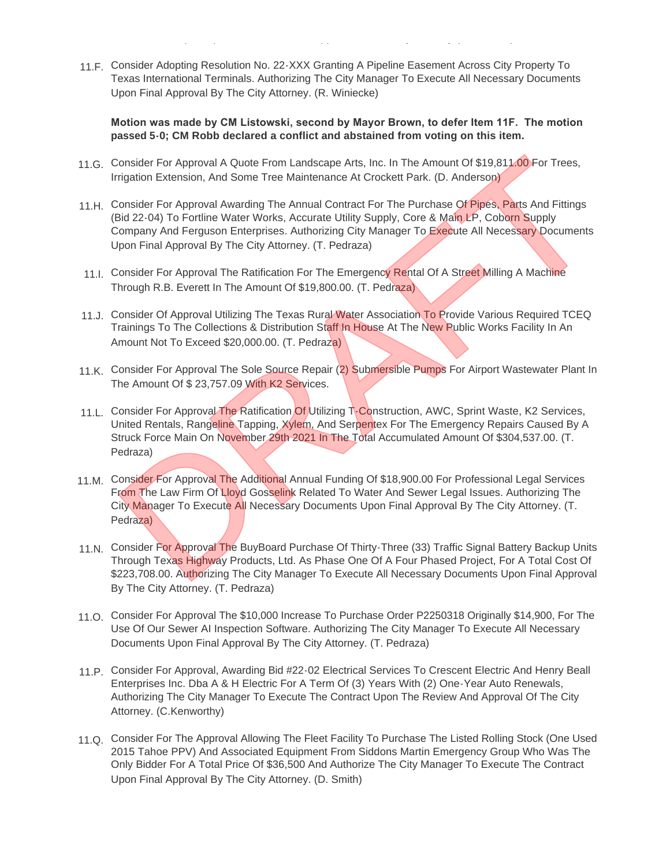11.F. Consider Adopting Resolution No. 22-XXX Granting A Pipeline Easement Across City Property To Texas International Terminals. Authorizing The City Manager To Execute All Necessary Documents Upon Final Approval By The City Attorney. (R. Winiecke)

International Airport Upon The Review And Approval Of The City Attorney (M. Shahan).

**Motion was made by CM Listowski, second by Mayor Brown, to defer Item 11F. The motion passed 5-0; CM Robb declared a conflict and abstained from voting on this item.**

- 11.G. Consider For Approval A Quote From Landscape Arts, Inc. In The Amount Of \$19,811.00 For Trees, Irrigation Extension, And Some Tree Maintenance At Crockett Park. (D. Anderson)
- 11.H. Consider For Approval Awarding The Annual Contract For The Purchase Of Pipes, Parts And Fittings (Bid 22-04) To Fortline Water Works, Accurate Utility Supply, Core & Main LP, Coborn Supply Company And Ferguson Enterprises. Authorizing City Manager To Execute All Necessary Documents Upon Final Approval By The City Attorney. (T. Pedraza) Consider For Approval A Quote From Landscape Arts, Inc. In The Amount Of \$19,811.00 For Trees,<br>rigation Extension, And Some Tree Maintenance At Crockett Park. (D. Anderson)<br>Consider For Approval Awarding The Annual Contrac
- 11.I. Consider For Approval The Ratification For The Emergency Rental Of A Street Milling A Machine Through R.B. Everett In The Amount Of \$19,800.00. (T. Pedraza)
- 11.J. Consider Of Approval Utilizing The Texas Rural Water Association To Provide Various Required TCEQ Trainings To The Collections & Distribution Staff In House At The New Public Works Facility In An Amount Not To Exceed \$20,000.00. (T. Pedraza)
- 11.K. Consider For Approval The Sole Source Repair (2) Submersible Pumps For Airport Wastewater Plant In The Amount Of \$ 23,757.09 With K2 Services.
- 11.L. Consider For Approval The Ratification Of Utilizing T-Construction, AWC, Sprint Waste, K2 Services, United Rentals, Rangeline Tapping, Xylem, And Serpentex For The Emergency Repairs Caused By A Struck Force Main On November 29th 2021 In The Total Accumulated Amount Of \$304,537.00. (T. Pedraza)
- 11.M. Consider For Approval The Additional Annual Funding Of \$18,900.00 For Professional Legal Services From The Law Firm Of Lloyd Gosselink Related To Water And Sewer Legal Issues. Authorizing The City Manager To Execute All Necessary Documents Upon Final Approval By The City Attorney. (T. Pedraza)
- 11.N. Consider For Approval The BuyBoard Purchase Of Thirty-Three (33) Traffic Signal Battery Backup Units Through Texas Highway Products, Ltd. As Phase One Of A Four Phased Project, For A Total Cost Of \$223,708.00. Authorizing The City Manager To Execute All Necessary Documents Upon Final Approval By The City Attorney. (T. Pedraza)
- 11.O. Consider For Approval The \$10,000 Increase To Purchase Order P2250318 Originally \$14,900, For The Use Of Our Sewer AI Inspection Software. Authorizing The City Manager To Execute All Necessary Documents Upon Final Approval By The City Attorney. (T. Pedraza)
- 11.P. Consider For Approval, Awarding Bid #22-02 Electrical Services To Crescent Electric And Henry Beall Enterprises Inc. Dba A & H Electric For A Term Of (3) Years With (2) One-Year Auto Renewals, Authorizing The City Manager To Execute The Contract Upon The Review And Approval Of The City Attorney. (C.Kenworthy)
- 11.Q. Consider For The Approval Allowing The Fleet Facility To Purchase The Listed Rolling Stock (One Used 2015 Tahoe PPV) And Associated Equipment From Siddons Martin Emergency Group Who Was The Only Bidder For A Total Price Of \$36,500 And Authorize The City Manager To Execute The Contract Upon Final Approval By The City Attorney. (D. Smith)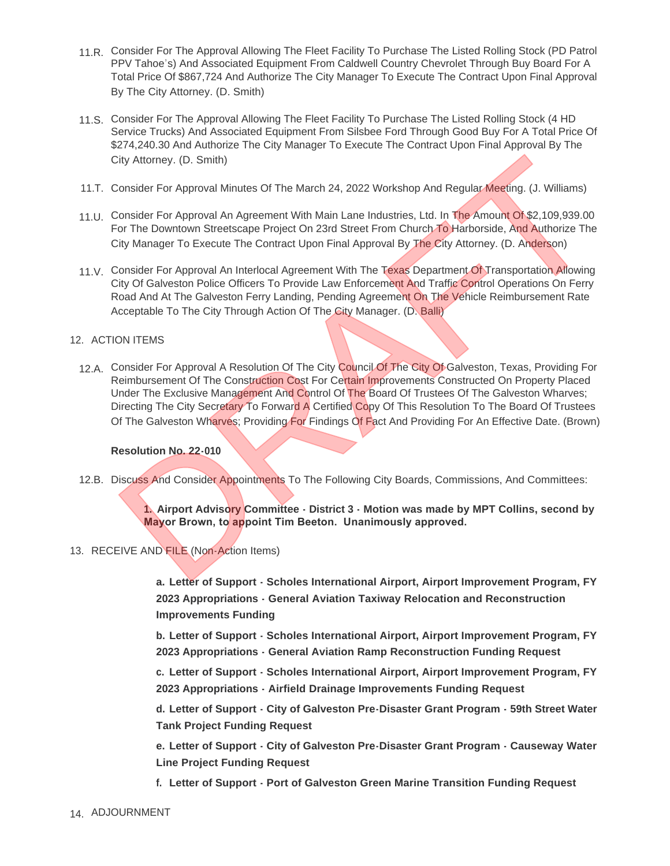- 11.R. Consider For The Approval Allowing The Fleet Facility To Purchase The Listed Rolling Stock (PD Patrol PPV Tahoe's) And Associated Equipment From Caldwell Country Chevrolet Through Buy Board For A Total Price Of \$867,724 And Authorize The City Manager To Execute The Contract Upon Final Approval By The City Attorney. (D. Smith)
- 11.S. Consider For The Approval Allowing The Fleet Facility To Purchase The Listed Rolling Stock (4 HD Service Trucks) And Associated Equipment From Silsbee Ford Through Good Buy For A Total Price Of \$274,240.30 And Authorize The City Manager To Execute The Contract Upon Final Approval By The City Attorney. (D. Smith)
- 11.T. Consider For Approval Minutes Of The March 24, 2022 Workshop And Regular Meeting. (J. Williams)
- 11.U. Consider For Approval An Agreement With Main Lane Industries, Ltd. In The Amount Of \$2,109,939.00 For The Downtown Streetscape Project On 23rd Street From Church To Harborside, And Authorize The City Manager To Execute The Contract Upon Final Approval By The City Attorney. (D. Anderson)
- 11.V. Consider For Approval An Interlocal Agreement With The Texas Department Of Transportation Allowing City Of Galveston Police Officers To Provide Law Enforcement And Traffic Control Operations On Ferry Road And At The Galveston Ferry Landing, Pending Agreement On The Vehicle Reimbursement Rate Acceptable To The City Through Action Of The City Manager. (D. Balli)

#### 12. ACTION ITEMS

12.A. Consider For Approval A Resolution Of The City Council Of The City Of Galveston, Texas, Providing For Reimbursement Of The Construction Cost For Certain Improvements Constructed On Property Placed Under The Exclusive Management And Control Of The Board Of Trustees Of The Galveston Wharves; Directing The City Secretary To Forward A Certified Copy Of This Resolution To The Board Of Trustees Of The Galveston Wharves; Providing For Findings Of Fact And Providing For An Effective Date. (Brown) Christman Mathematic Constrained Mathematic Corresponding The Mathematic Mathematic Mathematic Terms (U. Williams)<br>Consider For Approval Ain Agreement With Main Lane Industries, Ltd. In The Amount Of \$2,109,939.00<br>Consider

#### **Resolution No. 22-010**

12.B. Discuss And Consider Appointments To The Following City Boards, Commissions, And Committees:

**1. Airport Advisory Committee - District 3 - Motion was made by MPT Collins, second by Mayor Brown, to appoint Tim Beeton. Unanimously approved.**

13. RECEIVE AND FILE (Non-Action Items)

**a. Letter of Support - Scholes International Airport, Airport Improvement Program, FY 2023 Appropriations - General Aviation Taxiway Relocation and Reconstruction Improvements Funding**

**b. Letter of Support - Scholes International Airport, Airport Improvement Program, FY 2023 Appropriations - General Aviation Ramp Reconstruction Funding Request**

**c. Letter of Support - Scholes International Airport, Airport Improvement Program, FY 2023 Appropriations - Airfield Drainage Improvements Funding Request**

**d. Letter of Support - City of Galveston Pre-Disaster Grant Program - 59th Street Water Tank Project Funding Request**

**e. Letter of Support - City of Galveston Pre-Disaster Grant Program - Causeway Water Line Project Funding Request**

- **f. Letter of Support Port of Galveston Green Marine Transition Funding Request**
- 14. ADJOURNMENT